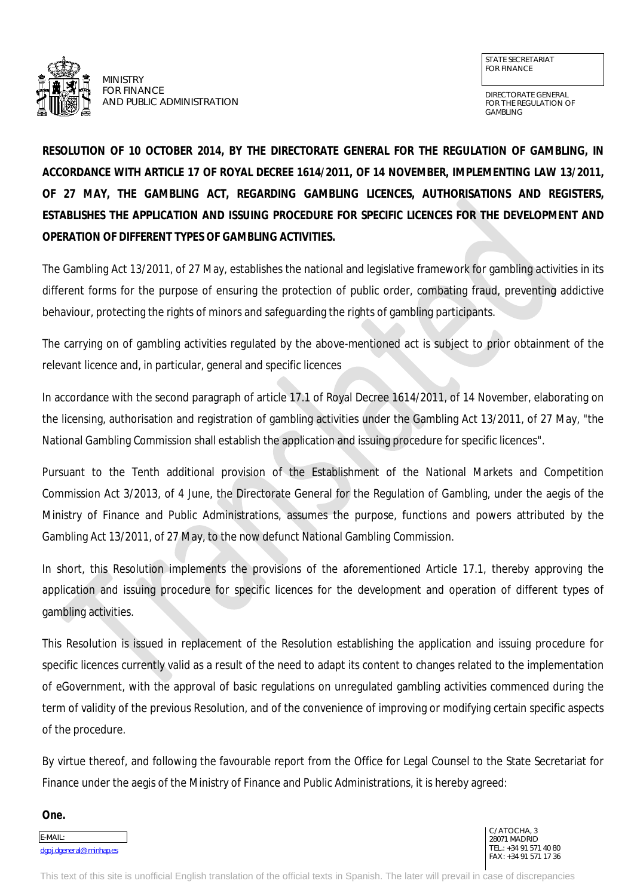

MINISTRY FOR FINANCE AND PUBLIC ADMINISTRATION

DIRECTORATE GENERAL FOR THE REGULATION OF GAMBLING

**RESOLUTION OF 10 OCTOBER 2014, BY THE DIRECTORATE GENERAL FOR THE REGULATION OF GAMBLING, IN ACCORDANCE WITH ARTICLE 17 OF ROYAL DECREE 1614/2011, OF 14 NOVEMBER, IMPLEMENTING LAW 13/2011, OF 27 MAY, THE GAMBLING ACT, REGARDING GAMBLING LICENCES, AUTHORISATIONS AND REGISTERS, ESTABLISHES THE APPLICATION AND ISSUING PROCEDURE FOR SPECIFIC LICENCES FOR THE DEVELOPMENT AND OPERATION OF DIFFERENT TYPES OF GAMBLING ACTIVITIES.**

The Gambling Act 13/2011, of 27 May, establishes the national and legislative framework for gambling activities in its different forms for the purpose of ensuring the protection of public order, combating fraud, preventing addictive behaviour, protecting the rights of minors and safeguarding the rights of gambling participants.

The carrying on of gambling activities regulated by the above-mentioned act is subject to prior obtainment of the relevant licence and, in particular, general and specific licences

In accordance with the second paragraph of article 17.1 of Royal Decree 1614/2011, of 14 November, elaborating on the licensing, authorisation and registration of gambling activities under the Gambling Act 13/2011, of 27 May, "the National Gambling Commission shall establish the application and issuing procedure for specific licences".

Pursuant to the Tenth additional provision of the Establishment of the National Markets and Competition Commission Act 3/2013, of 4 June, the Directorate General for the Regulation of Gambling, under the aegis of the Ministry of Finance and Public Administrations, assumes the purpose, functions and powers attributed by the Gambling Act 13/2011, of 27 May, to the now defunct National Gambling Commission.

In short, this Resolution implements the provisions of the aforementioned Article 17.1, thereby approving the application and issuing procedure for specific licences for the development and operation of different types of gambling activities.

This Resolution is issued in replacement of the Resolution establishing the application and issuing procedure for specific licences currently valid as a result of the need to adapt its content to changes related to the implementation of eGovernment, with the approval of basic regulations on unregulated gambling activities commenced during the term of validity of the previous Resolution, and of the convenience of improving or modifying certain specific aspects of the procedure.

By virtue thereof, and following the favourable report from the Office for Legal Counsel to the State Secretariat for Finance under the aegis of the Ministry of Finance and Public Administrations, it is hereby agreed:

**One.**

E-MAIL: [dgoj.dgeneral@minhap.es](mailto:dgoj.dgeneral@minhap.es)

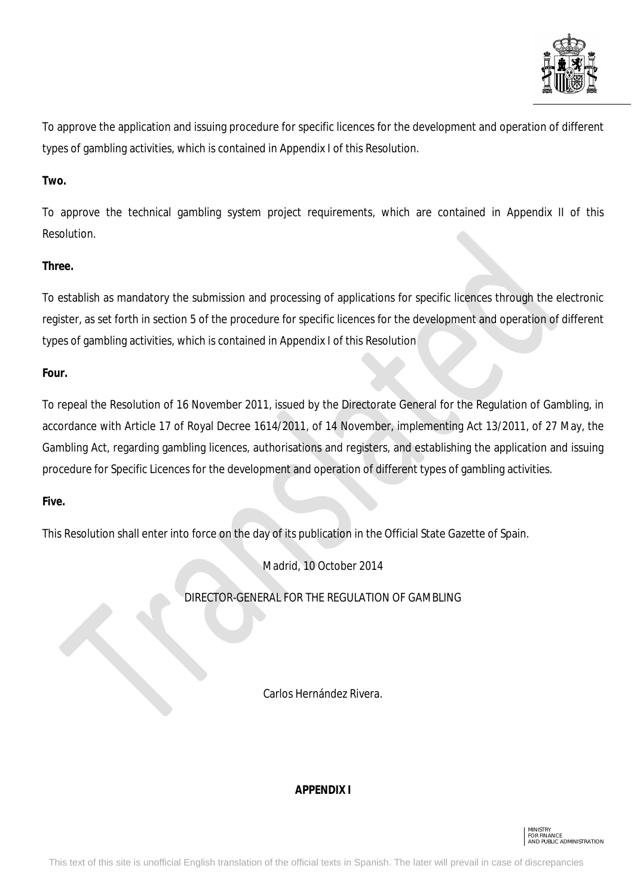

To approve the application and issuing procedure for specific licences for the development and operation of different types of gambling activities, which is contained in Appendix I of this Resolution.

# **Two.**

To approve the technical gambling system project requirements, which are contained in Appendix II of this Resolution.

# **Three.**

To establish as mandatory the submission and processing of applications for specific licences through the electronic register, as set forth in section 5 of the procedure for specific licences for the development and operation of different types of gambling activities, which is contained in Appendix I of this Resolution

# **Four.**

To repeal the Resolution of 16 November 2011, issued by the Directorate General for the Regulation of Gambling, in accordance with Article 17 of Royal Decree 1614/2011, of 14 November, implementing Act 13/2011, of 27 May, the Gambling Act, regarding gambling licences, authorisations and registers, and establishing the application and issuing procedure for Specific Licences for the development and operation of different types of gambling activities.

# **Five.**

This Resolution shall enter into force on the day of its publication in the Official State Gazette of Spain.

Madrid, 10 October 2014

DIRECTOR-GENERAL FOR THE REGULATION OF GAMBLING

Carlos Hernández Rivera.

# **APPENDIX I**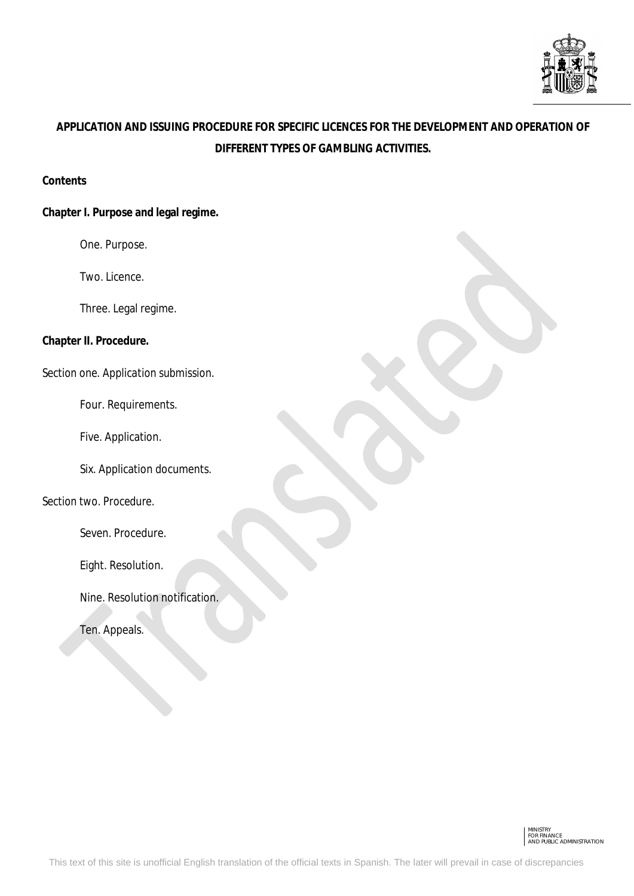

# **APPLICATION AND ISSUING PROCEDURE FOR SPECIFIC LICENCES FOR THE DEVELOPMENT AND OPERATION OF DIFFERENT TYPES OF GAMBLING ACTIVITIES.**

#### **Contents**

## **Chapter I. Purpose and legal regime.**

One. Purpose.

Two. Licence.

Three. Legal regime.

**Chapter II. Procedure.**

*Section one. Application submission.*

Four. Requirements.

Five. Application.

Six. Application documents.

*Section two. Procedure.* 

Seven. Procedure.

Eight. Resolution.

Nine. Resolution notification.

Ten. Appeals.

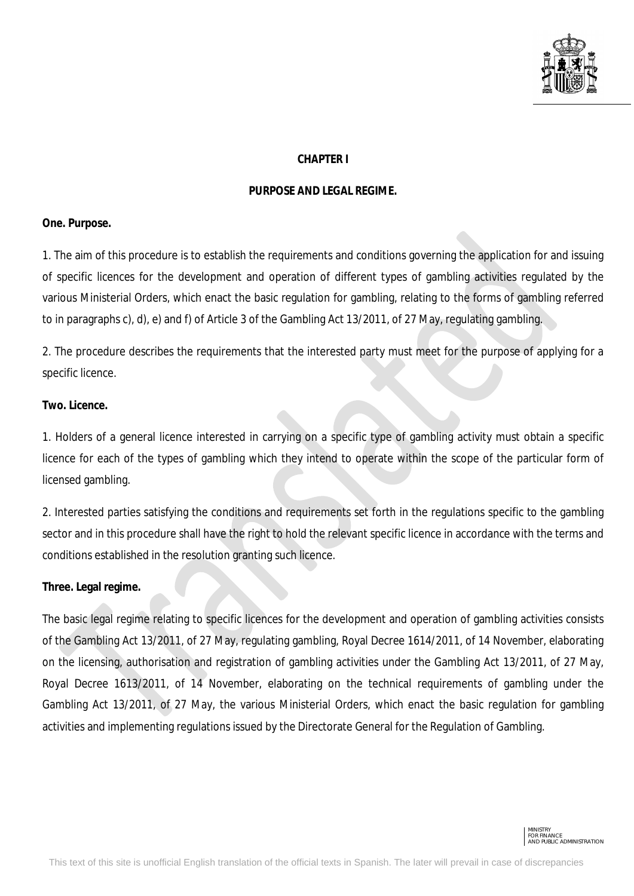

#### **CHAPTER I**

#### **PURPOSE AND LEGAL REGIME.**

#### **One. Purpose.**

1. The aim of this procedure is to establish the requirements and conditions governing the application for and issuing of specific licences for the development and operation of different types of gambling activities regulated by the various Ministerial Orders, which enact the basic regulation for gambling, relating to the forms of gambling referred to in paragraphs c), d), e) and f) of Article 3 of the Gambling Act 13/2011, of 27 May, regulating gambling.

2. The procedure describes the requirements that the interested party must meet for the purpose of applying for a specific licence.

## **Two. Licence.**

1. Holders of a general licence interested in carrying on a specific type of gambling activity must obtain a specific licence for each of the types of gambling which they intend to operate within the scope of the particular form of licensed gambling.

2. Interested parties satisfying the conditions and requirements set forth in the regulations specific to the gambling sector and in this procedure shall have the right to hold the relevant specific licence in accordance with the terms and conditions established in the resolution granting such licence.

# **Three. Legal regime.**

The basic legal regime relating to specific licences for the development and operation of gambling activities consists of the Gambling Act 13/2011, of 27 May, regulating gambling, Royal Decree 1614/2011, of 14 November, elaborating on the licensing, authorisation and registration of gambling activities under the Gambling Act 13/2011, of 27 May, Royal Decree 1613/2011, of 14 November, elaborating on the technical requirements of gambling under the Gambling Act 13/2011, of 27 May, the various Ministerial Orders, which enact the basic regulation for gambling activities and implementing regulations issued by the Directorate General for the Regulation of Gambling.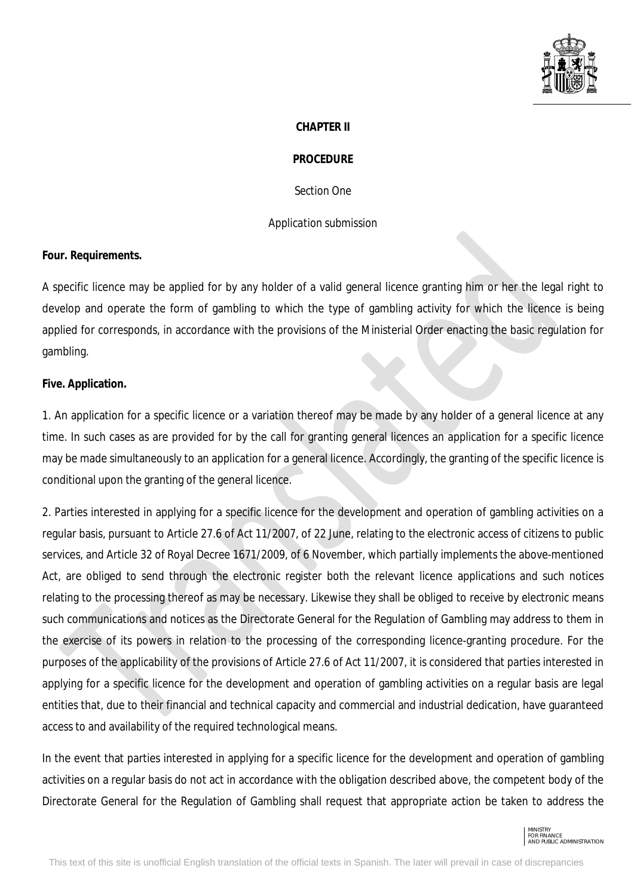

#### **CHAPTER II**

#### **PROCEDURE**

*Section One*

#### *Application submission*

#### **Four. Requirements.**

A specific licence may be applied for by any holder of a valid general licence granting him or her the legal right to develop and operate the form of gambling to which the type of gambling activity for which the licence is being applied for corresponds, in accordance with the provisions of the Ministerial Order enacting the basic regulation for gambling.

#### **Five. Application.**

1. An application for a specific licence or a variation thereof may be made by any holder of a general licence at any time. In such cases as are provided for by the call for granting general licences an application for a specific licence may be made simultaneously to an application for a general licence. Accordingly, the granting of the specific licence is conditional upon the granting of the general licence.

2. Parties interested in applying for a specific licence for the development and operation of gambling activities on a regular basis, pursuant to Article 27.6 of Act 11/2007, of 22 June, relating to the electronic access of citizens to public services, and Article 32 of Royal Decree 1671/2009, of 6 November, which partially implements the above-mentioned Act, are obliged to send through the electronic register both the relevant licence applications and such notices relating to the processing thereof as may be necessary. Likewise they shall be obliged to receive by electronic means such communications and notices as the Directorate General for the Regulation of Gambling may address to them in the exercise of its powers in relation to the processing of the corresponding licence-granting procedure. For the purposes of the applicability of the provisions of Article 27.6 of Act 11/2007, it is considered that parties interested in applying for a specific licence for the development and operation of gambling activities on a regular basis are legal entities that, due to their financial and technical capacity and commercial and industrial dedication, have guaranteed access to and availability of the required technological means.

In the event that parties interested in applying for a specific licence for the development and operation of gambling activities on a regular basis do not act in accordance with the obligation described above, the competent body of the Directorate General for the Regulation of Gambling shall request that appropriate action be taken to address the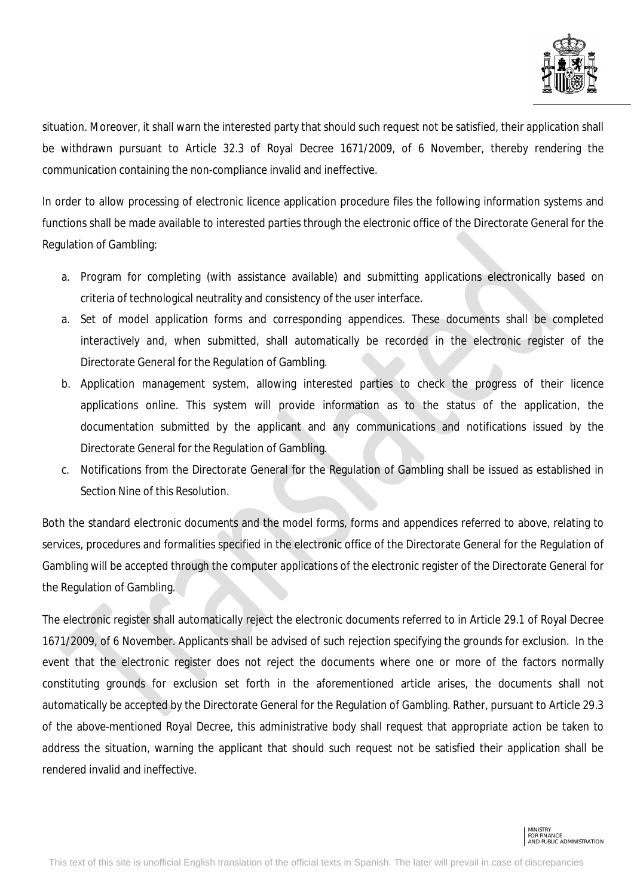

situation. Moreover, it shall warn the interested party that should such request not be satisfied, their application shall be withdrawn pursuant to Article 32.3 of Royal Decree 1671/2009, of 6 November, thereby rendering the communication containing the non-compliance invalid and ineffective.

In order to allow processing of electronic licence application procedure files the following information systems and functions shall be made available to interested parties through the electronic office of the Directorate General for the Regulation of Gambling:

- a. Program for completing (with assistance available) and submitting applications electronically based on criteria of technological neutrality and consistency of the user interface.
- a. Set of model application forms and corresponding appendices. These documents shall be completed interactively and, when submitted, shall automatically be recorded in the electronic register of the Directorate General for the Regulation of Gambling.
- b. Application management system, allowing interested parties to check the progress of their licence applications online. This system will provide information as to the status of the application, the documentation submitted by the applicant and any communications and notifications issued by the Directorate General for the Regulation of Gambling.
- c. Notifications from the Directorate General for the Regulation of Gambling shall be issued as established in Section Nine of this Resolution.

Both the standard electronic documents and the model forms, forms and appendices referred to above, relating to services, procedures and formalities specified in the electronic office of the Directorate General for the Regulation of Gambling will be accepted through the computer applications of the electronic register of the Directorate General for the Regulation of Gambling.

The electronic register shall automatically reject the electronic documents referred to in Article 29.1 of Royal Decree 1671/2009, of 6 November. Applicants shall be advised of such rejection specifying the grounds for exclusion. In the event that the electronic register does not reject the documents where one or more of the factors normally constituting grounds for exclusion set forth in the aforementioned article arises, the documents shall not automatically be accepted by the Directorate General for the Regulation of Gambling. Rather, pursuant to Article 29.3 of the above-mentioned Royal Decree, this administrative body shall request that appropriate action be taken to address the situation, warning the applicant that should such request not be satisfied their application shall be rendered invalid and ineffective.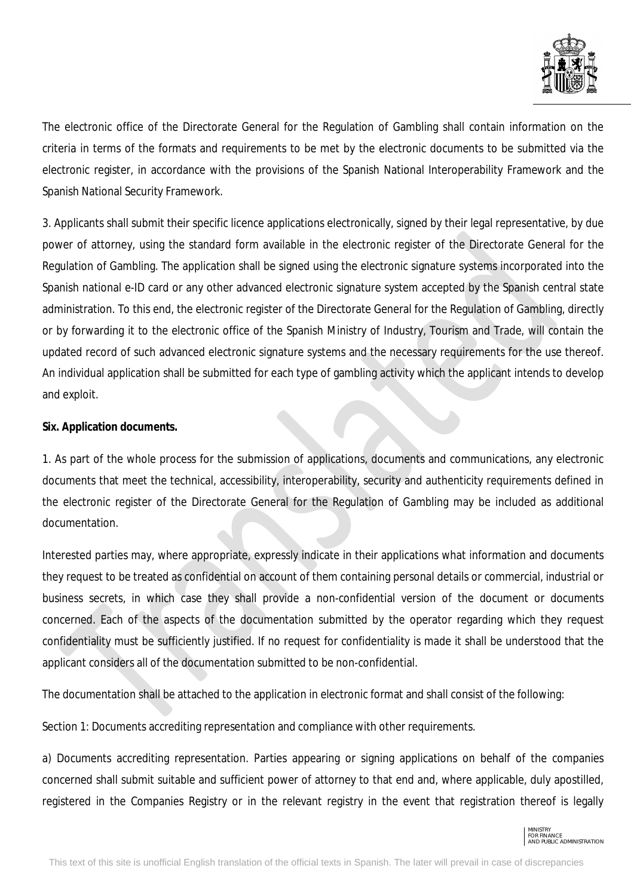

The electronic office of the Directorate General for the Regulation of Gambling shall contain information on the criteria in terms of the formats and requirements to be met by the electronic documents to be submitted via the electronic register, in accordance with the provisions of the Spanish National Interoperability Framework and the Spanish National Security Framework.

3. Applicants shall submit their specific licence applications electronically, signed by their legal representative, by due power of attorney, using the standard form available in the electronic register of the Directorate General for the Regulation of Gambling. The application shall be signed using the electronic signature systems incorporated into the Spanish national e-ID card or any other advanced electronic signature system accepted by the Spanish central state administration. To this end, the electronic register of the Directorate General for the Regulation of Gambling, directly or by forwarding it to the electronic office of the Spanish Ministry of Industry, Tourism and Trade, will contain the updated record of such advanced electronic signature systems and the necessary requirements for the use thereof. An individual application shall be submitted for each type of gambling activity which the applicant intends to develop and exploit.

# **Six. Application documents.**

1. As part of the whole process for the submission of applications, documents and communications, any electronic documents that meet the technical, accessibility, interoperability, security and authenticity requirements defined in the electronic register of the Directorate General for the Regulation of Gambling may be included as additional documentation.

Interested parties may, where appropriate, expressly indicate in their applications what information and documents they request to be treated as confidential on account of them containing personal details or commercial, industrial or business secrets, in which case they shall provide a non-confidential version of the document or documents concerned. Each of the aspects of the documentation submitted by the operator regarding which they request confidentiality must be sufficiently justified. If no request for confidentiality is made it shall be understood that the applicant considers all of the documentation submitted to be non-confidential.

The documentation shall be attached to the application in electronic format and shall consist of the following:

Section 1: Documents accrediting representation and compliance with other requirements.

a) Documents accrediting representation. Parties appearing or signing applications on behalf of the companies concerned shall submit suitable and sufficient power of attorney to that end and, where applicable, duly apostilled, registered in the Companies Registry or in the relevant registry in the event that registration thereof is legally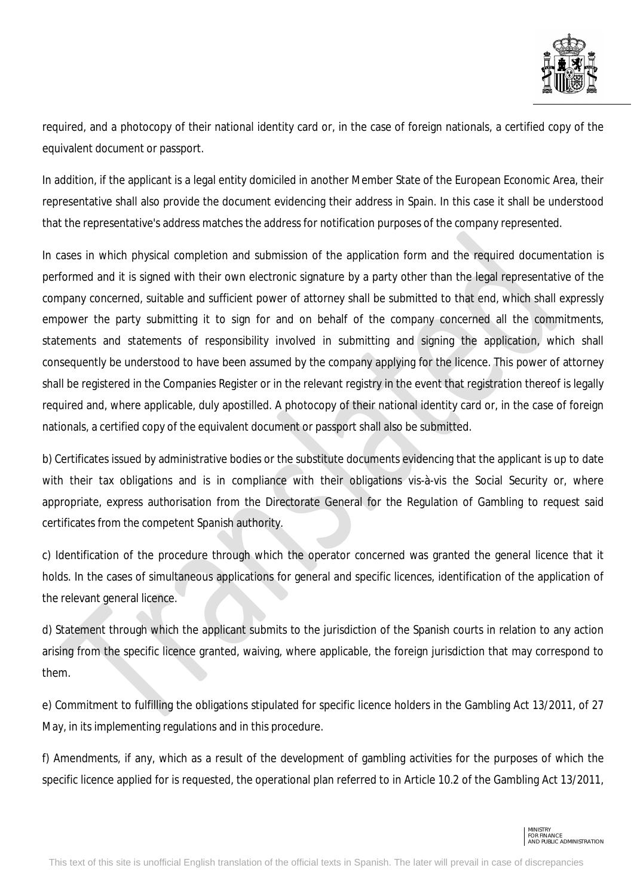

required, and a photocopy of their national identity card or, in the case of foreign nationals, a certified copy of the equivalent document or passport.

In addition, if the applicant is a legal entity domiciled in another Member State of the European Economic Area, their representative shall also provide the document evidencing their address in Spain. In this case it shall be understood that the representative's address matches the address for notification purposes of the company represented.

In cases in which physical completion and submission of the application form and the required documentation is performed and it is signed with their own electronic signature by a party other than the legal representative of the company concerned, suitable and sufficient power of attorney shall be submitted to that end, which shall expressly empower the party submitting it to sign for and on behalf of the company concerned all the commitments, statements and statements of responsibility involved in submitting and signing the application, which shall consequently be understood to have been assumed by the company applying for the licence. This power of attorney shall be registered in the Companies Register or in the relevant registry in the event that registration thereof is legally required and, where applicable, duly apostilled. A photocopy of their national identity card or, in the case of foreign nationals, a certified copy of the equivalent document or passport shall also be submitted.

b) Certificates issued by administrative bodies or the substitute documents evidencing that the applicant is up to date with their tax obligations and is in compliance with their obligations vis-à-vis the Social Security or, where appropriate, express authorisation from the Directorate General for the Regulation of Gambling to request said certificates from the competent Spanish authority.

c) Identification of the procedure through which the operator concerned was granted the general licence that it holds. In the cases of simultaneous applications for general and specific licences, identification of the application of the relevant general licence.

d) Statement through which the applicant submits to the jurisdiction of the Spanish courts in relation to any action arising from the specific licence granted, waiving, where applicable, the foreign jurisdiction that may correspond to them.

e) Commitment to fulfilling the obligations stipulated for specific licence holders in the Gambling Act 13/2011, of 27 May, in its implementing regulations and in this procedure.

f) Amendments, if any, which as a result of the development of gambling activities for the purposes of which the specific licence applied for is requested, the operational plan referred to in Article 10.2 of the Gambling Act 13/2011,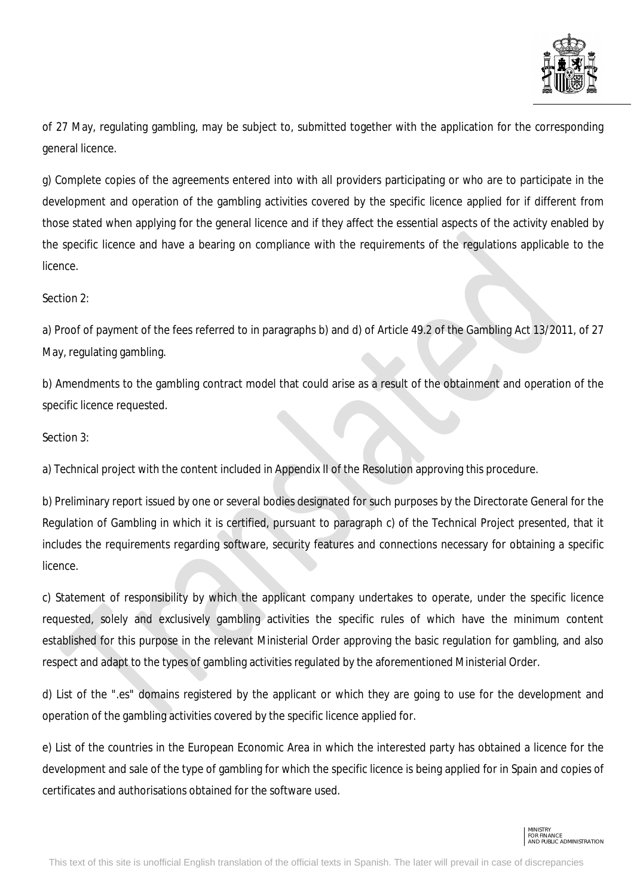

of 27 May, regulating gambling, may be subject to, submitted together with the application for the corresponding general licence.

g) Complete copies of the agreements entered into with all providers participating or who are to participate in the development and operation of the gambling activities covered by the specific licence applied for if different from those stated when applying for the general licence and if they affect the essential aspects of the activity enabled by the specific licence and have a bearing on compliance with the requirements of the regulations applicable to the licence.

## Section 2:

a) Proof of payment of the fees referred to in paragraphs b) and d) of Article 49.2 of the Gambling Act 13/2011, of 27 May, regulating gambling.

b) Amendments to the gambling contract model that could arise as a result of the obtainment and operation of the specific licence requested.

Section 3:

a) Technical project with the content included in Appendix II of the Resolution approving this procedure.

b) Preliminary report issued by one or several bodies designated for such purposes by the Directorate General for the Regulation of Gambling in which it is certified, pursuant to paragraph c) of the Technical Project presented, that it includes the requirements regarding software, security features and connections necessary for obtaining a specific licence.

c) Statement of responsibility by which the applicant company undertakes to operate, under the specific licence requested, solely and exclusively gambling activities the specific rules of which have the minimum content established for this purpose in the relevant Ministerial Order approving the basic regulation for gambling, and also respect and adapt to the types of gambling activities regulated by the aforementioned Ministerial Order.

d) List of the ".es" domains registered by the applicant or which they are going to use for the development and operation of the gambling activities covered by the specific licence applied for.

e) List of the countries in the European Economic Area in which the interested party has obtained a licence for the development and sale of the type of gambling for which the specific licence is being applied for in Spain and copies of certificates and authorisations obtained for the software used.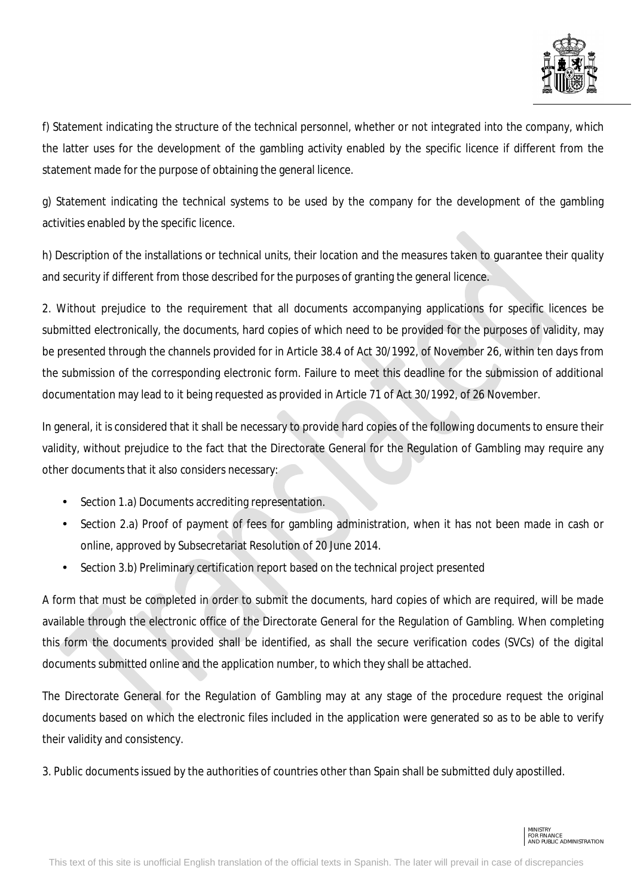

f) Statement indicating the structure of the technical personnel, whether or not integrated into the company, which the latter uses for the development of the gambling activity enabled by the specific licence if different from the statement made for the purpose of obtaining the general licence.

g) Statement indicating the technical systems to be used by the company for the development of the gambling activities enabled by the specific licence.

h) Description of the installations or technical units, their location and the measures taken to guarantee their quality and security if different from those described for the purposes of granting the general licence.

2. Without prejudice to the requirement that all documents accompanying applications for specific licences be submitted electronically, the documents, hard copies of which need to be provided for the purposes of validity, may be presented through the channels provided for in Article 38.4 of Act 30/1992, of November 26, within ten days from the submission of the corresponding electronic form. Failure to meet this deadline for the submission of additional documentation may lead to it being requested as provided in Article 71 of Act 30/1992, of 26 November.

In general, it is considered that it shall be necessary to provide hard copies of the following documents to ensure their validity, without prejudice to the fact that the Directorate General for the Regulation of Gambling may require any other documents that it also considers necessary:

- Section 1.a) Documents accrediting representation.
- Section 2.a) Proof of payment of fees for gambling administration, when it has not been made in cash or online, approved by Subsecretariat Resolution of 20 June 2014.
- Section 3.b) Preliminary certification report based on the technical project presented l,

A form that must be completed in order to submit the documents, hard copies of which are required, will be made available through the electronic office of the Directorate General for the Regulation of Gambling. When completing this form the documents provided shall be identified, as shall the secure verification codes (SVCs) of the digital documents submitted online and the application number, to which they shall be attached.

The Directorate General for the Regulation of Gambling may at any stage of the procedure request the original documents based on which the electronic files included in the application were generated so as to be able to verify their validity and consistency.

3. Public documents issued by the authorities of countries other than Spain shall be submitted duly apostilled.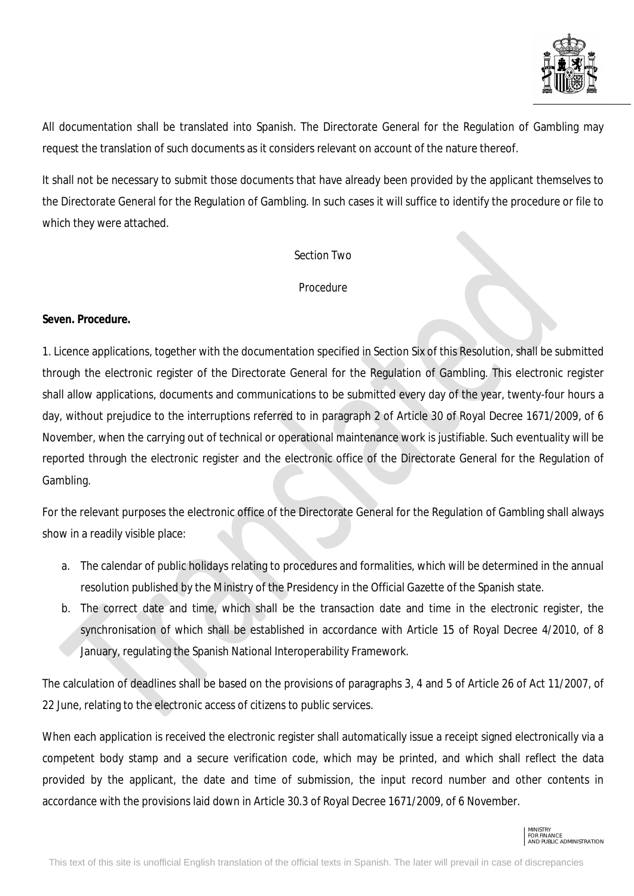

All documentation shall be translated into Spanish. The Directorate General for the Regulation of Gambling may request the translation of such documents as it considers relevant on account of the nature thereof.

It shall not be necessary to submit those documents that have already been provided by the applicant themselves to the Directorate General for the Regulation of Gambling. In such cases it will suffice to identify the procedure or file to which they were attached.

#### *Section Two*

## *Procedure*

## **Seven. Procedure.**

1. Licence applications, together with the documentation specified in Section Six of this Resolution, shall be submitted through the electronic register of the Directorate General for the Regulation of Gambling. This electronic register shall allow applications, documents and communications to be submitted every day of the year, twenty-four hours a day, without prejudice to the interruptions referred to in paragraph 2 of Article 30 of Royal Decree 1671/2009, of 6 November, when the carrying out of technical or operational maintenance work is justifiable. Such eventuality will be reported through the electronic register and the electronic office of the Directorate General for the Regulation of Gambling.

For the relevant purposes the electronic office of the Directorate General for the Regulation of Gambling shall always show in a readily visible place:

- a. The calendar of public holidays relating to procedures and formalities, which will be determined in the annual resolution published by the Ministry of the Presidency in the Official Gazette of the Spanish state.
- b. The correct date and time, which shall be the transaction date and time in the electronic register, the synchronisation of which shall be established in accordance with Article 15 of Royal Decree 4/2010, of 8 January, regulating the Spanish National Interoperability Framework.

The calculation of deadlines shall be based on the provisions of paragraphs 3, 4 and 5 of Article 26 of Act 11/2007, of 22 June, relating to the electronic access of citizens to public services.

When each application is received the electronic register shall automatically issue a receipt signed electronically via a competent body stamp and a secure verification code, which may be printed, and which shall reflect the data provided by the applicant, the date and time of submission, the input record number and other contents in accordance with the provisions laid down in Article 30.3 of Royal Decree 1671/2009, of 6 November.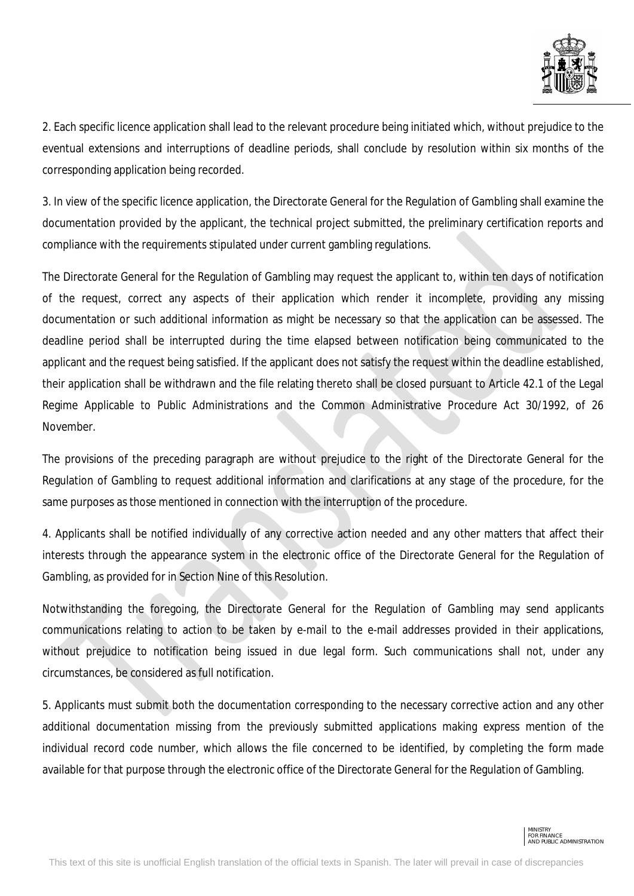

2. Each specific licence application shall lead to the relevant procedure being initiated which, without prejudice to the eventual extensions and interruptions of deadline periods, shall conclude by resolution within six months of the corresponding application being recorded.

3. In view of the specific licence application, the Directorate General for the Regulation of Gambling shall examine the documentation provided by the applicant, the technical project submitted, the preliminary certification reports and compliance with the requirements stipulated under current gambling regulations.

The Directorate General for the Regulation of Gambling may request the applicant to, within ten days of notification of the request, correct any aspects of their application which render it incomplete, providing any missing documentation or such additional information as might be necessary so that the application can be assessed. The deadline period shall be interrupted during the time elapsed between notification being communicated to the applicant and the request being satisfied. If the applicant does not satisfy the request within the deadline established, their application shall be withdrawn and the file relating thereto shall be closed pursuant to Article 42.1 of the Legal Regime Applicable to Public Administrations and the Common Administrative Procedure Act 30/1992, of 26 November.

The provisions of the preceding paragraph are without prejudice to the right of the Directorate General for the Regulation of Gambling to request additional information and clarifications at any stage of the procedure, for the same purposes as those mentioned in connection with the interruption of the procedure.

4. Applicants shall be notified individually of any corrective action needed and any other matters that affect their interests through the appearance system in the electronic office of the Directorate General for the Regulation of Gambling, as provided for in Section Nine of this Resolution.

Notwithstanding the foregoing, the Directorate General for the Regulation of Gambling may send applicants communications relating to action to be taken by e-mail to the e-mail addresses provided in their applications, without prejudice to notification being issued in due legal form. Such communications shall not, under any circumstances, be considered as full notification.

5. Applicants must submit both the documentation corresponding to the necessary corrective action and any other additional documentation missing from the previously submitted applications making express mention of the individual record code number, which allows the file concerned to be identified, by completing the form made available for that purpose through the electronic office of the Directorate General for the Regulation of Gambling.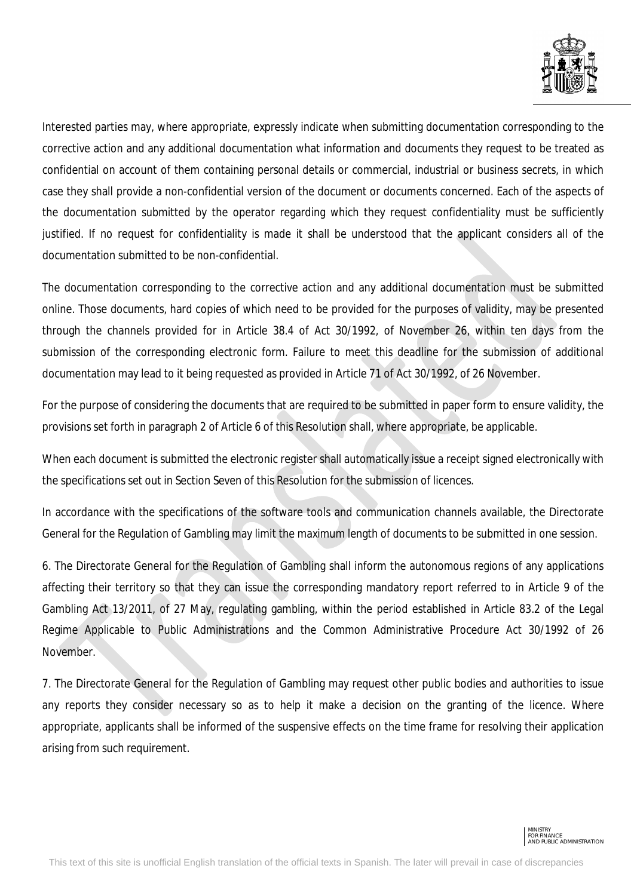

Interested parties may, where appropriate, expressly indicate when submitting documentation corresponding to the corrective action and any additional documentation what information and documents they request to be treated as confidential on account of them containing personal details or commercial, industrial or business secrets, in which case they shall provide a non-confidential version of the document or documents concerned. Each of the aspects of the documentation submitted by the operator regarding which they request confidentiality must be sufficiently justified. If no request for confidentiality is made it shall be understood that the applicant considers all of the documentation submitted to be non-confidential.

The documentation corresponding to the corrective action and any additional documentation must be submitted online. Those documents, hard copies of which need to be provided for the purposes of validity, may be presented through the channels provided for in Article 38.4 of Act 30/1992, of November 26, within ten days from the submission of the corresponding electronic form. Failure to meet this deadline for the submission of additional documentation may lead to it being requested as provided in Article 71 of Act 30/1992, of 26 November.

For the purpose of considering the documents that are required to be submitted in paper form to ensure validity, the provisions set forth in paragraph 2 of Article 6 of this Resolution shall, where appropriate, be applicable.

When each document is submitted the electronic register shall automatically issue a receipt signed electronically with the specifications set out in Section Seven of this Resolution for the submission of licences.

In accordance with the specifications of the software tools and communication channels available, the Directorate General for the Regulation of Gambling may limit the maximum length of documents to be submitted in one session.

6. The Directorate General for the Regulation of Gambling shall inform the autonomous regions of any applications affecting their territory so that they can issue the corresponding mandatory report referred to in Article 9 of the Gambling Act 13/2011, of 27 May, regulating gambling, within the period established in Article 83.2 of the Legal Regime Applicable to Public Administrations and the Common Administrative Procedure Act 30/1992 of 26 November.

7. The Directorate General for the Regulation of Gambling may request other public bodies and authorities to issue any reports they consider necessary so as to help it make a decision on the granting of the licence. Where appropriate, applicants shall be informed of the suspensive effects on the time frame for resolving their application arising from such requirement.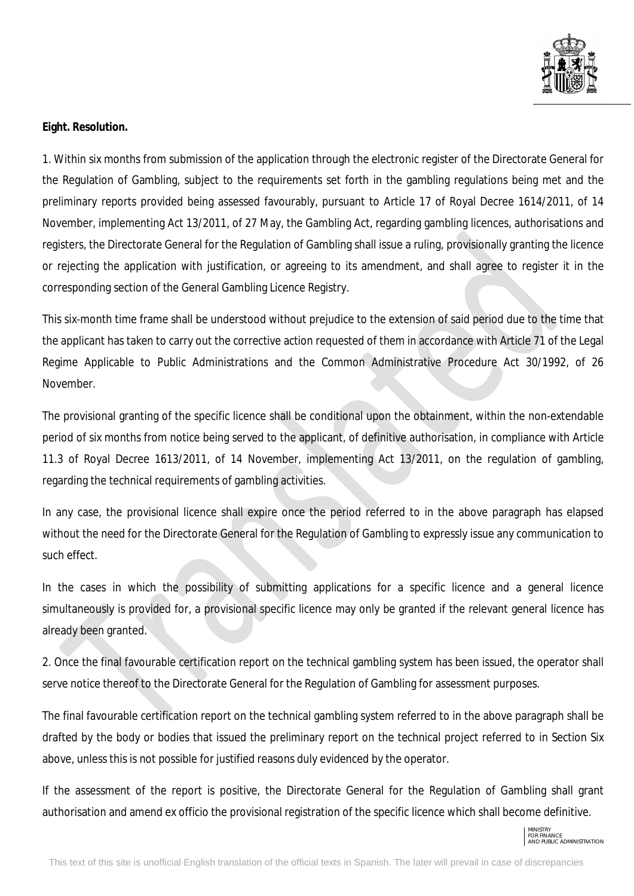

#### **Eight. Resolution.**

1. Within six months from submission of the application through the electronic register of the Directorate General for the Regulation of Gambling, subject to the requirements set forth in the gambling regulations being met and the preliminary reports provided being assessed favourably, pursuant to Article 17 of Royal Decree 1614/2011, of 14 November, implementing Act 13/2011, of 27 May, the Gambling Act, regarding gambling licences, authorisations and registers, the Directorate General for the Regulation of Gambling shall issue a ruling, provisionally granting the licence or rejecting the application with justification, or agreeing to its amendment, and shall agree to register it in the corresponding section of the General Gambling Licence Registry.

This six-month time frame shall be understood without prejudice to the extension of said period due to the time that the applicant has taken to carry out the corrective action requested of them in accordance with Article 71 of the Legal Regime Applicable to Public Administrations and the Common Administrative Procedure Act 30/1992, of 26 November.

The provisional granting of the specific licence shall be conditional upon the obtainment, within the non-extendable period of six months from notice being served to the applicant, of definitive authorisation, in compliance with Article 11.3 of Royal Decree 1613/2011, of 14 November, implementing Act 13/2011, on the regulation of gambling, regarding the technical requirements of gambling activities.

In any case, the provisional licence shall expire once the period referred to in the above paragraph has elapsed without the need for the Directorate General for the Regulation of Gambling to expressly issue any communication to such effect.

In the cases in which the possibility of submitting applications for a specific licence and a general licence simultaneously is provided for, a provisional specific licence may only be granted if the relevant general licence has already been granted.

2. Once the final favourable certification report on the technical gambling system has been issued, the operator shall serve notice thereof to the Directorate General for the Regulation of Gambling for assessment purposes.

The final favourable certification report on the technical gambling system referred to in the above paragraph shall be drafted by the body or bodies that issued the preliminary report on the technical project referred to in Section Six above, unless this is not possible for justified reasons duly evidenced by the operator.

If the assessment of the report is positive, the Directorate General for the Regulation of Gambling shall grant authorisation and amend ex officio the provisional registration of the specific licence which shall become definitive.

MINISTRY FOR FINANCE AND PUBLIC ADMINISTRATION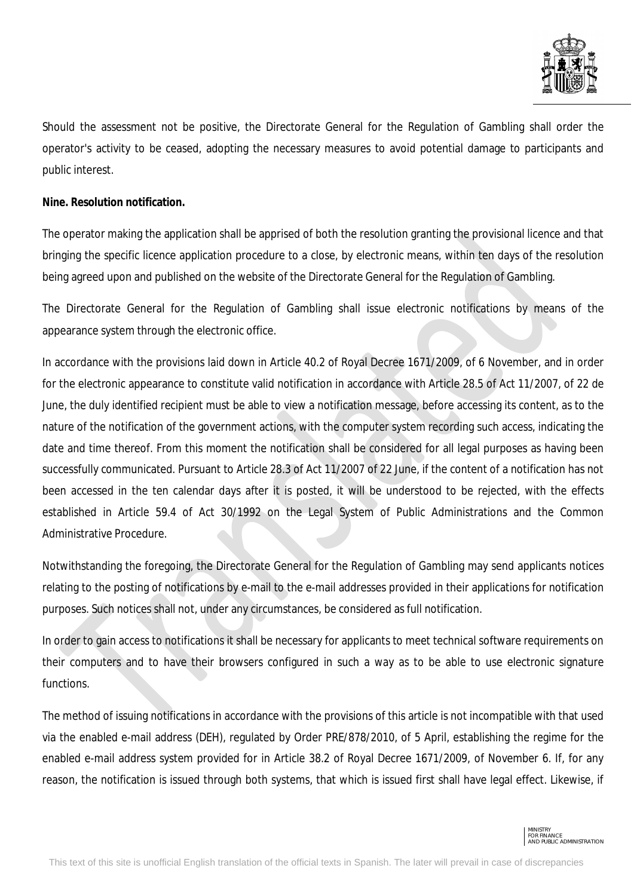

Should the assessment not be positive, the Directorate General for the Regulation of Gambling shall order the operator's activity to be ceased, adopting the necessary measures to avoid potential damage to participants and public interest.

## **Nine. Resolution notification.**

The operator making the application shall be apprised of both the resolution granting the provisional licence and that bringing the specific licence application procedure to a close, by electronic means, within ten days of the resolution being agreed upon and published on the website of the Directorate General for the Regulation of Gambling.

The Directorate General for the Regulation of Gambling shall issue electronic notifications by means of the appearance system through the electronic office.

In accordance with the provisions laid down in Article 40.2 of Royal Decree 1671/2009, of 6 November, and in order for the electronic appearance to constitute valid notification in accordance with Article 28.5 of Act 11/2007, of 22 de June, the duly identified recipient must be able to view a notification message, before accessing its content, as to the nature of the notification of the government actions, with the computer system recording such access, indicating the date and time thereof. From this moment the notification shall be considered for all legal purposes as having been successfully communicated. Pursuant to Article 28.3 of Act 11/2007 of 22 June, if the content of a notification has not been accessed in the ten calendar days after it is posted, it will be understood to be rejected, with the effects established in Article 59.4 of Act 30/1992 on the Legal System of Public Administrations and the Common Administrative Procedure.

Notwithstanding the foregoing, the Directorate General for the Regulation of Gambling may send applicants notices relating to the posting of notifications by e-mail to the e-mail addresses provided in their applications for notification purposes. Such notices shall not, under any circumstances, be considered as full notification.

In order to gain access to notifications it shall be necessary for applicants to meet technical software requirements on their computers and to have their browsers configured in such a way as to be able to use electronic signature functions.

The method of issuing notifications in accordance with the provisions of this article is not incompatible with that used via the enabled e-mail address (DEH), regulated by Order PRE/878/2010, of 5 April, establishing the regime for the enabled e-mail address system provided for in Article 38.2 of Royal Decree 1671/2009, of November 6. If, for any reason, the notification is issued through both systems, that which is issued first shall have legal effect. Likewise, if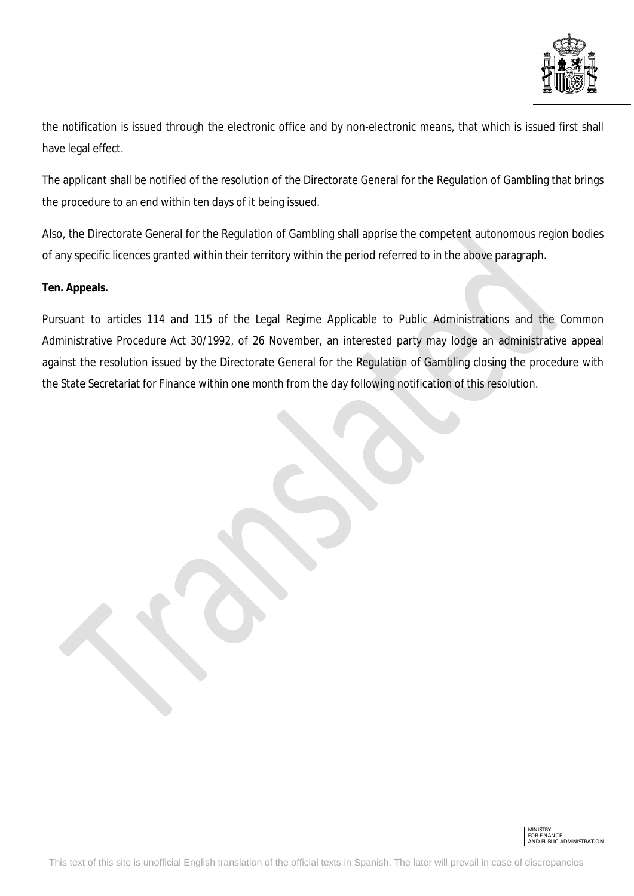

the notification is issued through the electronic office and by non-electronic means, that which is issued first shall have legal effect.

The applicant shall be notified of the resolution of the Directorate General for the Regulation of Gambling that brings the procedure to an end within ten days of it being issued.

Also, the Directorate General for the Regulation of Gambling shall apprise the competent autonomous region bodies of any specific licences granted within their territory within the period referred to in the above paragraph.

# **Ten. Appeals.**

Pursuant to articles 114 and 115 of the Legal Regime Applicable to Public Administrations and the Common Administrative Procedure Act 30/1992, of 26 November, an interested party may lodge an administrative appeal against the resolution issued by the Directorate General for the Regulation of Gambling closing the procedure with the State Secretariat for Finance within one month from the day following notification of this resolution.

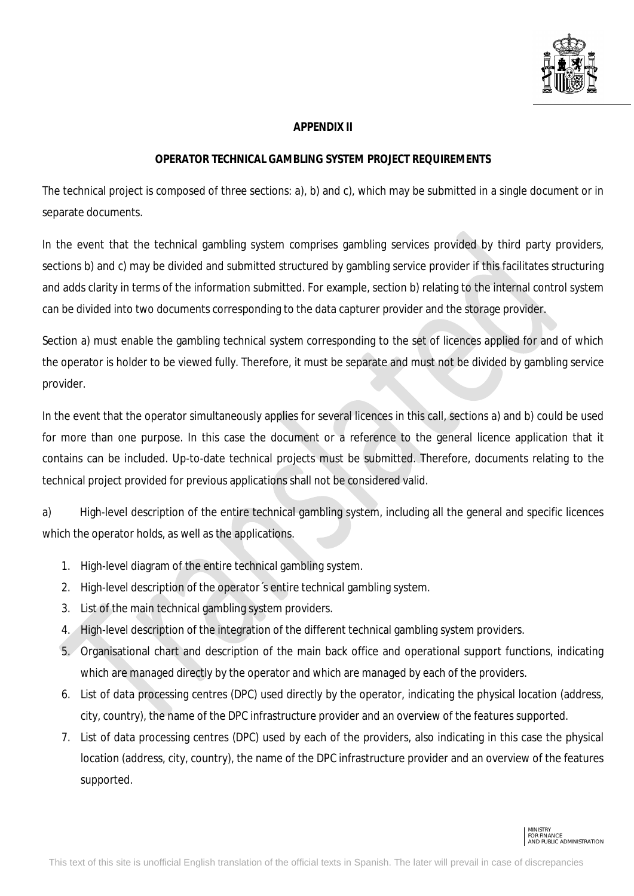

## **APPENDIX II**

## **OPERATOR TECHNICAL GAMBLING SYSTEM PROJECT REQUIREMENTS**

The technical project is composed of three sections: a), b) and c), which may be submitted in a single document or in separate documents.

In the event that the technical gambling system comprises gambling services provided by third party providers, sections b) and c) may be divided and submitted structured by gambling service provider if this facilitates structuring and adds clarity in terms of the information submitted. For example, section b) relating to the internal control system can be divided into two documents corresponding to the data capturer provider and the storage provider.

Section a) must enable the gambling technical system corresponding to the set of licences applied for and of which the operator is holder to be viewed fully. Therefore, it must be separate and must not be divided by gambling service provider.

In the event that the operator simultaneously applies for several licences in this call, sections a) and b) could be used for more than one purpose. In this case the document or a reference to the general licence application that it contains can be included. Up-to-date technical projects must be submitted. Therefore, documents relating to the technical project provided for previous applications shall not be considered valid.

a) High-level description of the entire technical gambling system, including all the general and specific licences which the operator holds, as well as the applications.

- 1. High-level diagram of the entire technical gambling system.
- 2. High-level description of the operator´s entire technical gambling system.
- 3. List of the main technical gambling system providers.
- 4. High-level description of the integration of the different technical gambling system providers.
- 5. Organisational chart and description of the main back office and operational support functions, indicating which are managed directly by the operator and which are managed by each of the providers.
- 6. List of data processing centres (DPC) used directly by the operator, indicating the physical location (address, city, country), the name of the DPC infrastructure provider and an overview of the features supported.
- 7. List of data processing centres (DPC) used by each of the providers, also indicating in this case the physical location (address, city, country), the name of the DPC infrastructure provider and an overview of the features supported.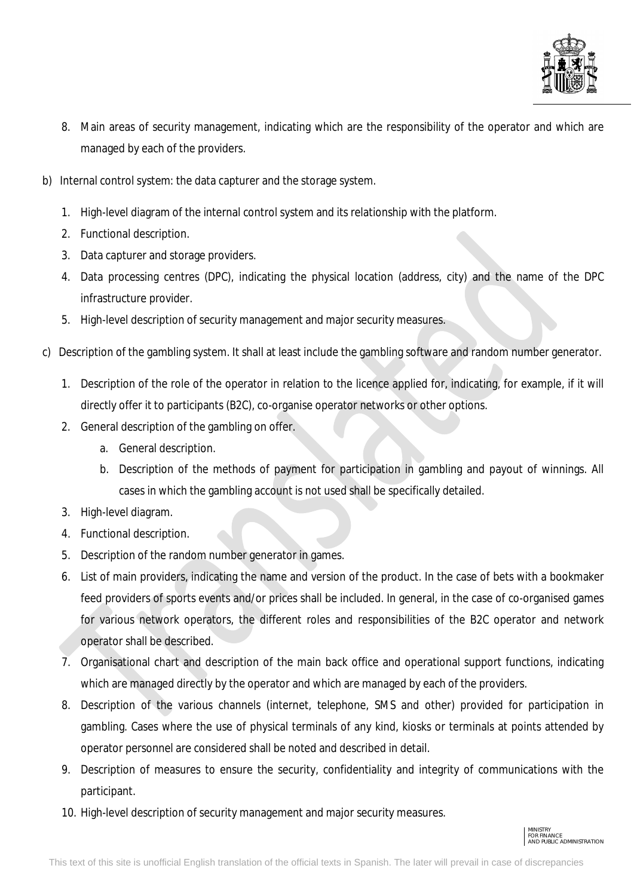

- 8. Main areas of security management, indicating which are the responsibility of the operator and which are managed by each of the providers.
- b) Internal control system: the data capturer and the storage system.
	- 1. High-level diagram of the internal control system and its relationship with the platform.
	- 2. Functional description.
	- 3. Data capturer and storage providers.
	- 4. Data processing centres (DPC), indicating the physical location (address, city) and the name of the DPC infrastructure provider.
	- 5. High-level description of security management and major security measures.
- c) Description of the gambling system. It shall at least include the gambling software and random number generator.
	- 1. Description of the role of the operator in relation to the licence applied for, indicating, for example, if it will directly offer it to participants (B2C), co-organise operator networks or other options.
	- 2. General description of the gambling on offer.
		- a. General description.
		- b. Description of the methods of payment for participation in gambling and payout of winnings. All cases in which the gambling account is not used shall be specifically detailed.
	- 3. High-level diagram.
	- 4. Functional description.
	- 5. Description of the random number generator in games.
	- 6. List of main providers, indicating the name and version of the product. In the case of bets with a bookmaker feed providers of sports events and/or prices shall be included. In general, in the case of co-organised games for various network operators, the different roles and responsibilities of the B2C operator and network operator shall be described.
	- 7. Organisational chart and description of the main back office and operational support functions, indicating which are managed directly by the operator and which are managed by each of the providers.
	- 8. Description of the various channels (internet, telephone, SMS and other) provided for participation in gambling. Cases where the use of physical terminals of any kind, kiosks or terminals at points attended by operator personnel are considered shall be noted and described in detail.
	- 9. Description of measures to ensure the security, confidentiality and integrity of communications with the participant.
	- 10. High-level description of security management and major security measures.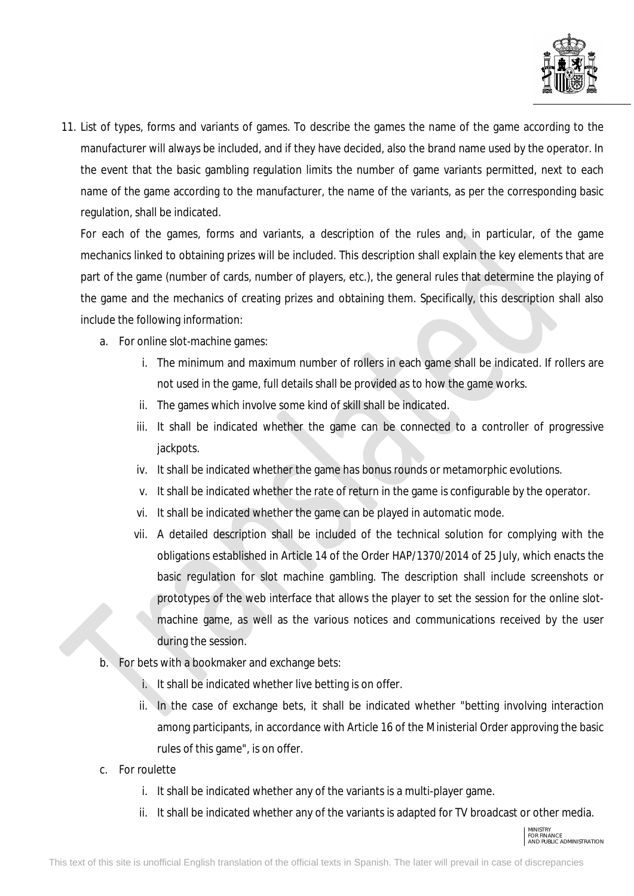

11. List of types, forms and variants of games. To describe the games the name of the game according to the manufacturer will always be included, and if they have decided, also the brand name used by the operator. In the event that the basic gambling regulation limits the number of game variants permitted, next to each name of the game according to the manufacturer, the name of the variants, as per the corresponding basic regulation, shall be indicated.

For each of the games, forms and variants, a description of the rules and, in particular, of the game mechanics linked to obtaining prizes will be included. This description shall explain the key elements that are part of the game (number of cards, number of players, etc.), the general rules that determine the playing of the game and the mechanics of creating prizes and obtaining them. Specifically, this description shall also include the following information:

- a. For online slot-machine games:
	- i. The minimum and maximum number of rollers in each game shall be indicated. If rollers are not used in the game, full details shall be provided as to how the game works.
	- ii. The games which involve some kind of skill shall be indicated.
	- iii. It shall be indicated whether the game can be connected to a controller of progressive jackpots.
	- iv. It shall be indicated whether the game has bonus rounds or metamorphic evolutions.
	- v. It shall be indicated whether the rate of return in the game is configurable by the operator.
	- vi. It shall be indicated whether the game can be played in automatic mode.
	- vii. A detailed description shall be included of the technical solution for complying with the obligations established in Article 14 of the Order HAP/1370/2014 of 25 July, which enacts the basic regulation for slot machine gambling. The description shall include screenshots or prototypes of the web interface that allows the player to set the session for the online slotmachine game, as well as the various notices and communications received by the user during the session.
- b. For bets with a bookmaker and exchange bets:
	- i. It shall be indicated whether live betting is on offer.
	- ii. In the case of exchange bets, it shall be indicated whether "betting involving interaction among participants, in accordance with Article 16 of the Ministerial Order approving the basic rules of this game", is on offer.
- c. For roulette
	- i. It shall be indicated whether any of the variants is a multi-player game.
	- ii. It shall be indicated whether any of the variants is adapted for TV broadcast or other media.

MINISTRY FOR FINANCE AND PUBLIC ADMINISTRATION